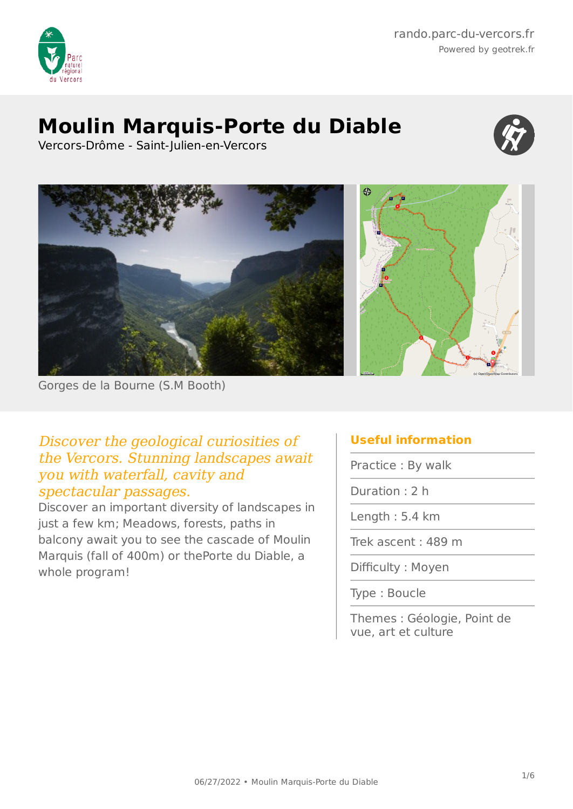

## **Moulin Marquis-Porte du Diable**



Vercors-Drôme - Saint-Julien-en-Vercors



Gorges de la Bourne (S.M Booth)

#### Discover the geological curiosities of the Vercors. Stunning landscapes await you with waterfall, cavity and spectacular passages.

Discover an important diversity of landscapes in just a few km; Meadows, forests, paths in balcony await you to see the cascade of Moulin Marquis (fall of 400m) or thePorte du Diable, a whole program!

### **Useful information**

Practice : By walk

Duration : 2 h

Length : 5.4 km

Trek ascent : 489 m

Difficulty : Moyen

Type : Boucle

Themes : Géologie, Point de vue, art et culture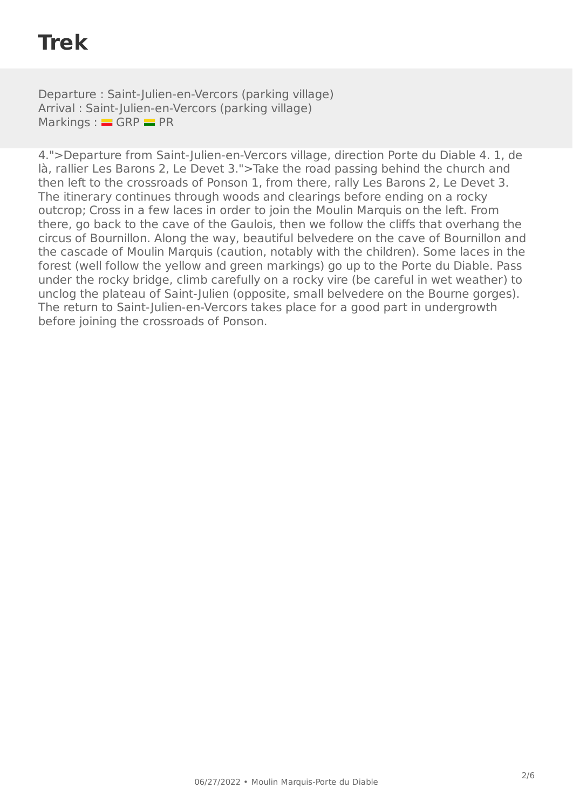# **Trek**

Departure : Saint-Julien-en-Vercors (parking village) Arrival : Saint-Julien-en-Vercors (parking village)  $Markings :$  GRP  $=$  PR

4.">Departure from Saint-Julien-en-Vercors village, direction Porte du Diable 4. 1, de là, rallier Les Barons 2, Le Devet 3.">Take the road passing behind the church and then left to the crossroads of Ponson 1, from there, rally Les Barons 2, Le Devet 3. The itinerary continues through woods and clearings before ending on a rocky outcrop; Cross in a few laces in order to join the Moulin Marquis on the left. From there, go back to the cave of the Gaulois, then we follow the cliffs that overhang the circus of Bournillon. Along the way, beautiful belvedere on the cave of Bournillon and the cascade of Moulin Marquis (caution, notably with the children). Some laces in the forest (well follow the yellow and green markings) go up to the Porte du Diable. Pass under the rocky bridge, climb carefully on a rocky vire (be careful in wet weather) to unclog the plateau of Saint-Julien (opposite, small belvedere on the Bourne gorges). The return to Saint-Julien-en-Vercors takes place for a good part in undergrowth before joining the crossroads of Ponson.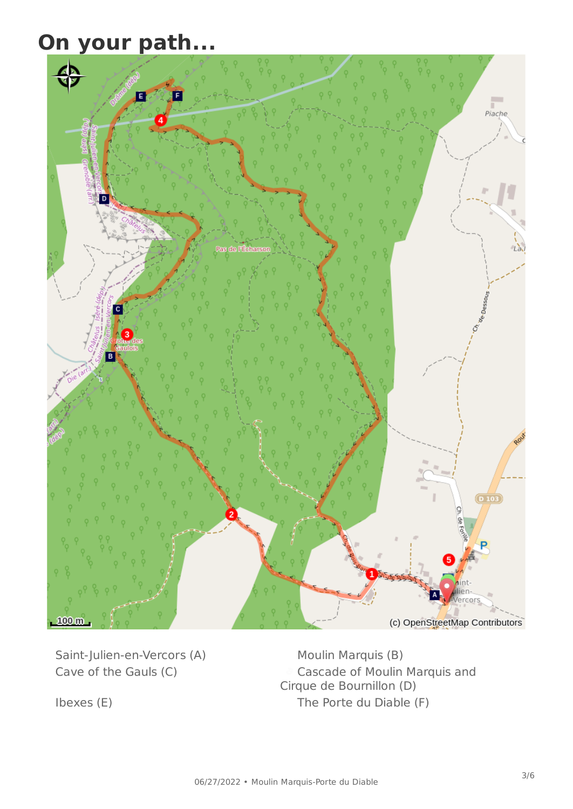# **On your path...**



Saint-Julien-en-Vercors (A) Moulin Marquis (B)

Cave of the Gauls (C) Cascade of Moulin Marquis and Cirque de Bournillon (D) Ibexes (E) The Porte du Diable (F)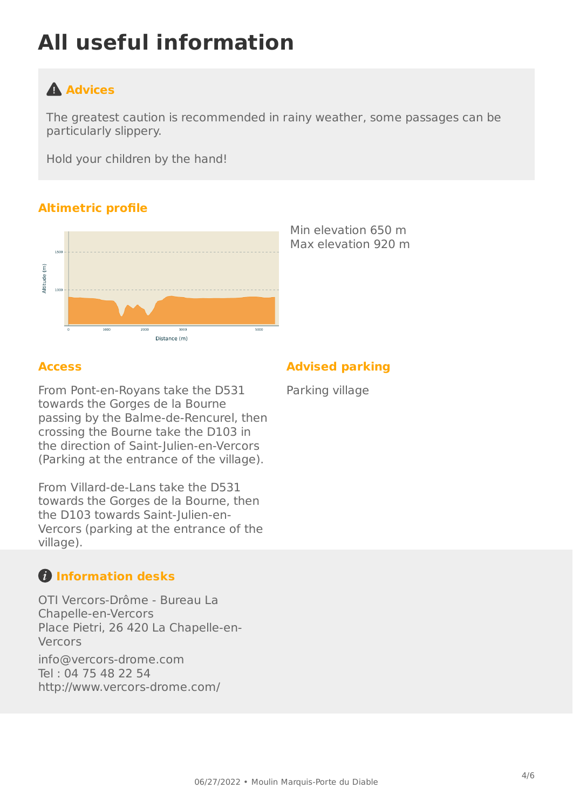# **All useful information**

## **Advices**

The greatest caution is recommended in rainy weather, some passages can be particularly slippery.

Hold your children by the hand!

#### **Altimetric profile**



Min elevation 650 m Max elevation 920 m

#### **Access**

From Pont-en-Royans take the D531 towards the Gorges de la Bourne passing by the Balme-de-Rencurel, then crossing the Bourne take the D103 in the direction of Saint-Julien-en-Vercors (Parking at the entrance of the village).

From Villard-de-Lans take the D531 towards the Gorges de la Bourne, then the D103 towards Saint-Julien-en-Vercors (parking at the entrance of the village).

## **Information desks**

OTI Vercors-Drôme - Bureau La Chapelle-en-Vercors Place Pietri, 26 420 La Chapelle-en-Vercors

[info@vercors-drome.com](mailto:info@vercors-drome.com) Tel : 04 75 48 22 54 <http://www.vercors-drome.com/>

#### **Advised parking**

Parking village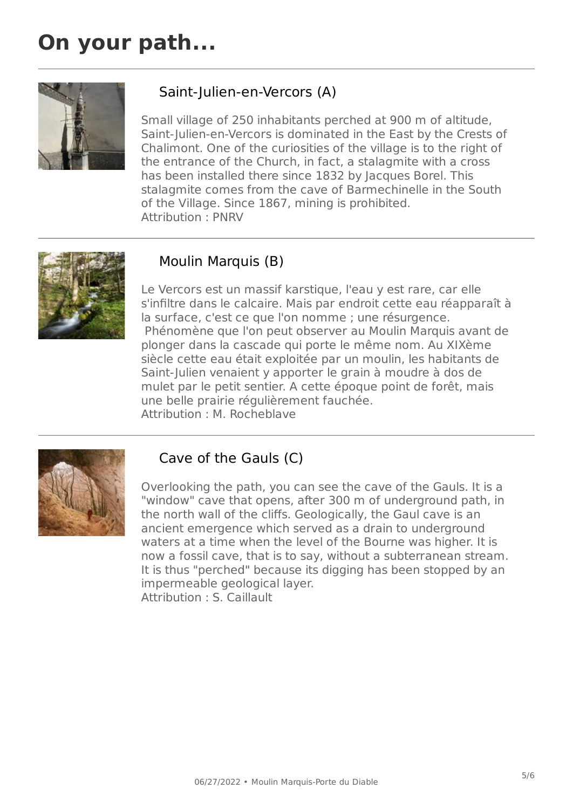## **On your path...**



#### Saint-Julien-en-Vercors (A)

Small village of 250 inhabitants perched at 900 m of altitude, Saint-Julien-en-Vercors is dominated in the East by the Crests of Chalimont. One of the curiosities of the village is to the right of the entrance of the Church, in fact, a stalagmite with a cross has been installed there since 1832 by Jacques Borel. This stalagmite comes from the cave of Barmechinelle in the South of the Village. Since 1867, mining is prohibited. Attribution : PNRV



#### Moulin Marquis (B)

Le Vercors est un massif karstique, l'eau y est rare, car elle s'infiltre dans le calcaire. Mais par endroit cette eau réapparaît à la surface, c'est ce que l'on nomme ; une résurgence. Phénomène que l'on peut observer au Moulin Marquis avant de plonger dans la cascade qui porte le même nom. Au XIXème siècle cette eau était exploitée par un moulin, les habitants de Saint-Julien venaient y apporter le grain à moudre à dos de mulet par le petit sentier. A cette époque point de forêt, mais une belle prairie régulièrement fauchée. Attribution : M. Rocheblave



#### Cave of the Gauls (C)

Overlooking the path, you can see the cave of the Gauls. It is a "window" cave that opens, after 300 m of underground path, in the north wall of the cliffs. Geologically, the Gaul cave is an ancient emergence which served as a drain to underground waters at a time when the level of the Bourne was higher. It is now a fossil cave, that is to say, without a subterranean stream. It is thus "perched" because its digging has been stopped by an impermeable geological layer. Attribution : S. Caillault